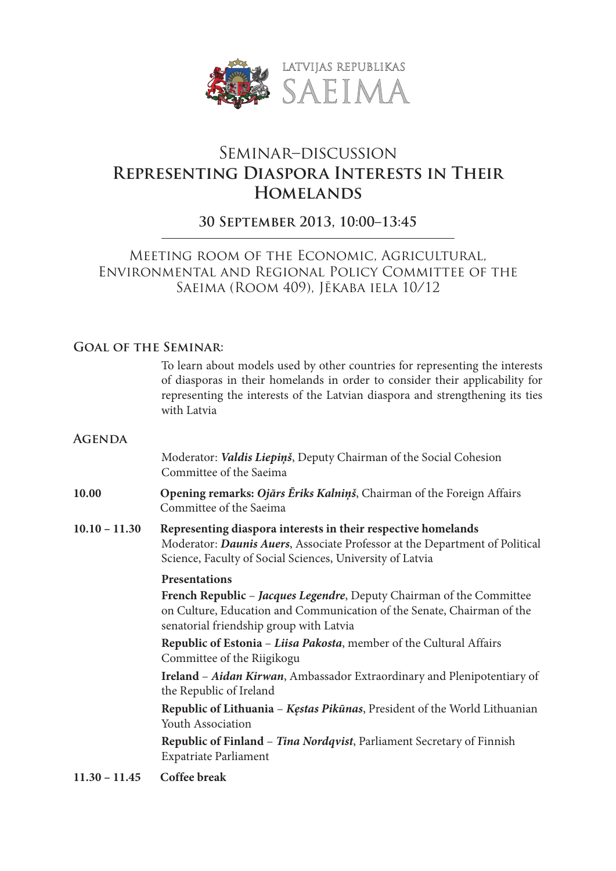

# Seminar–discussion **Representing Diaspora Interests in Their Homelands**

# **30 September 2013, 10:00–13:45**

## Meeting room of the Economic, Agricultural, Environmental and Regional Policy Committee of the Saeima (Room 409), Jēkaba iela 10/12

## **Goal of the Seminar:**

To learn about models used by other countries for representing the interests of diasporas in their homelands in order to consider their applicability for representing the interests of the Latvian diaspora and strengthening its ties with Latvia

#### **Agenda**

Moderator: *Valdis Liepiņš*, Deputy Chairman of the Social Cohesion Committee of the Saeima

- **10.00 Opening remarks:** *Ojārs Ēriks Kalniņš*, Chairman of the Foreign Affairs Committee of the Saeima
- **10.10 – 11.30 Representing diaspora interests in their respective homelands** Moderator: *Daunis Auers*, Associate Professor at the Department of Political Science, Faculty of Social Sciences, University of Latvia

### **Presentations**

**French Republic** – *Jacques Legendre*, Deputy Chairman of the Committee on Culture, Education and Communication of the Senate, Chairman of the senatorial friendship group with Latvia

**Republic of Estonia** – *Liisa Pakosta*, member of the Cultural Affairs Committee of the Riigikogu

**Ireland** – *Aidan Kirwan*, Ambassador Extraordinary and Plenipotentiary of the Republic of Ireland

**Republic of Lithuania** – *Kęstas Pikūnas*, President of the World Lithuanian Youth Association

**Republic of Finland** – *Tina Nordqvist*, Parliament Secretary of Finnish Expatriate Parliament

**11.30 – 11.45 Coffee break**